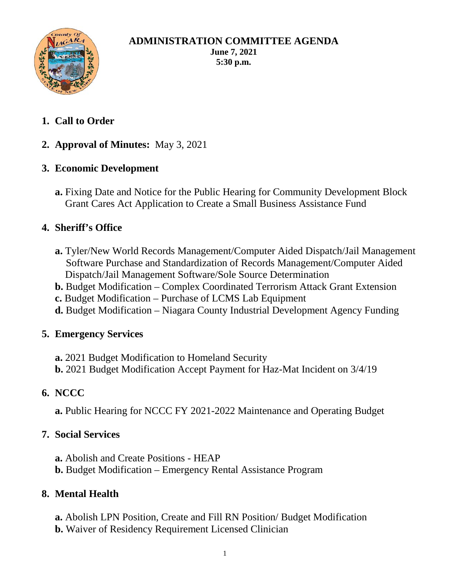

#### **ADMINISTRATION COMMITTEE AGENDA June 7, 2021 5:30 p.m.**

- **1. Call to Order**
- **2. Approval of Minutes:** May 3, 2021

# **3. Economic Development**

**a.** Fixing Date and Notice for the Public Hearing for Community Development Block Grant Cares Act Application to Create a Small Business Assistance Fund

# **4. Sheriff's Office**

- **a.** Tyler/New World Records Management/Computer Aided Dispatch/Jail Management Software Purchase and Standardization of Records Management/Computer Aided Dispatch/Jail Management Software/Sole Source Determination
- **b.** Budget Modification Complex Coordinated Terrorism Attack Grant Extension
- **c.** Budget Modification Purchase of LCMS Lab Equipment
- **d.** Budget Modification Niagara County Industrial Development Agency Funding

### **5. Emergency Services**

**a.** 2021 Budget Modification to Homeland Security **b.** 2021 Budget Modification Accept Payment for Haz-Mat Incident on 3/4/19

# **6. NCCC**

**a.** Public Hearing for NCCC FY 2021-2022 Maintenance and Operating Budget

### **7. Social Services**

- **a.** Abolish and Create Positions HEAP
- **b.** Budget Modification Emergency Rental Assistance Program

# **8. Mental Health**

- **a.** Abolish LPN Position, Create and Fill RN Position/ Budget Modification
- **b.** Waiver of Residency Requirement Licensed Clinician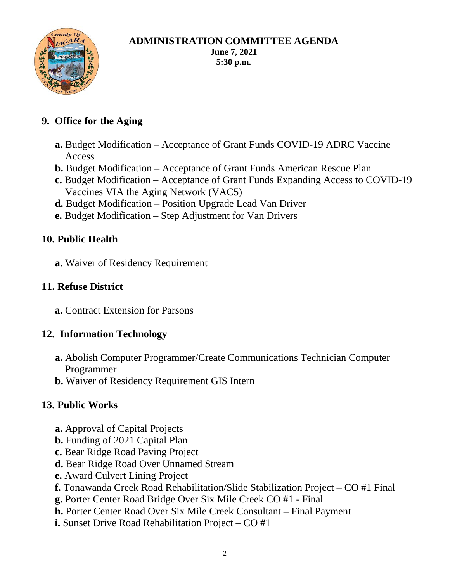

#### **ADMINISTRATION COMMITTEE AGENDA June 7, 2021 5:30 p.m.**

# **9. Office for the Aging**

- **a.** Budget Modification Acceptance of Grant Funds COVID-19 ADRC Vaccine Access
- **b.** Budget Modification Acceptance of Grant Funds American Rescue Plan
- **c.** Budget Modification Acceptance of Grant Funds Expanding Access to COVID-19 Vaccines VIA the Aging Network (VAC5)
- **d.** Budget Modification Position Upgrade Lead Van Driver
- **e.** Budget Modification Step Adjustment for Van Drivers

### **10. Public Health**

**a.** Waiver of Residency Requirement

### **11. Refuse District**

 **a.** Contract Extension for Parsons

### **12. Information Technology**

- **a.** Abolish Computer Programmer/Create Communications Technician Computer Programmer
- **b.** Waiver of Residency Requirement GIS Intern

### **13. Public Works**

- **a.** Approval of Capital Projects
- **b.** Funding of 2021 Capital Plan
- **c.** Bear Ridge Road Paving Project
- **d.** Bear Ridge Road Over Unnamed Stream
- **e.** Award Culvert Lining Project
- **f.** Tonawanda Creek Road Rehabilitation/Slide Stabilization Project CO #1 Final
- **g.** Porter Center Road Bridge Over Six Mile Creek CO #1 Final
- **h.** Porter Center Road Over Six Mile Creek Consultant Final Payment
- **i.** Sunset Drive Road Rehabilitation Project CO #1